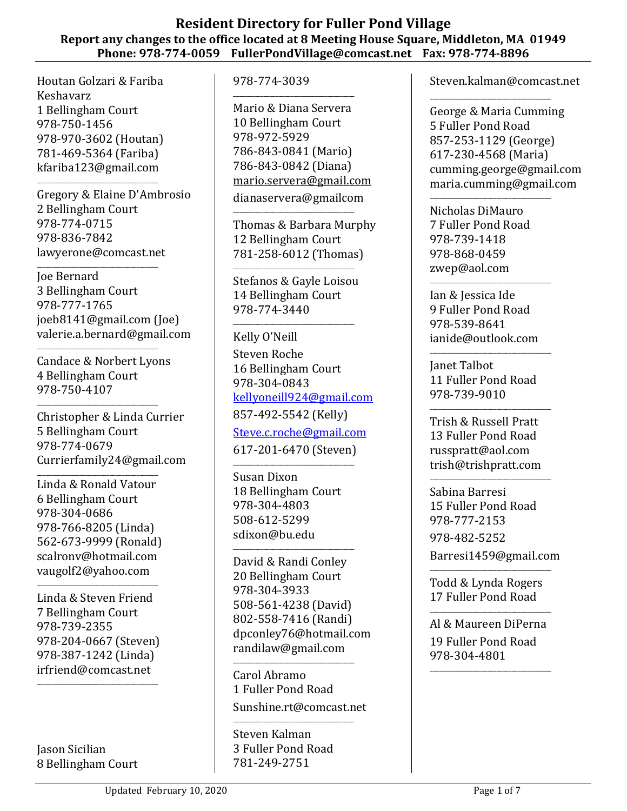## **Resident Directory for Fuller Pond Village Report any changes to the office located at 8 Meeting House Square, Middleton, MA 01949 Phone: 978-774-0059 FullerPondVillage@comcast.net Fax: 978-774-8896**

Houtan Golzari & Fariba Keshavarz 1 Bellingham Court 978-750-1456 978-970-3602 (Houtan) 781-469-5364 (Fariba) kfariba123@gmail.com

\_\_\_\_\_\_\_\_\_\_\_\_\_\_\_\_\_\_\_\_\_\_\_\_\_\_\_\_\_\_\_\_\_\_\_\_\_\_\_\_

Gregory & Elaine D'Ambrosio 2 Bellingham Court 978-774-0715 978-836-7842 lawyerone@comcast.net

\_\_\_\_\_\_\_\_\_\_\_\_\_\_\_\_\_\_\_\_\_\_\_\_\_\_\_\_\_\_\_\_\_\_\_\_\_\_\_\_ Joe Bernard 3 Bellingham Court 978-777-1765 joeb8141@gmail.com (Joe) valerie.a.bernard@gmail.com

Candace & Norbert Lyons 4 Bellingham Court 978-750-4107

\_\_\_\_\_\_\_\_\_\_\_\_\_\_\_\_\_\_\_\_\_\_\_\_\_\_\_\_\_\_\_\_\_\_\_\_\_\_\_\_

\_\_\_\_\_\_\_\_\_\_\_\_\_\_\_\_\_\_\_\_\_\_\_\_\_\_\_\_\_\_\_\_\_\_\_\_\_\_\_\_

Christopher & Linda Currier 5 Bellingham Court 978-774-0679 Currierfamily24@gmail.com

\_\_\_\_\_\_\_\_\_\_\_\_\_\_\_\_\_\_\_\_\_\_\_\_\_\_\_\_\_\_\_\_\_\_\_\_\_\_\_\_ Linda & Ronald Vatour 6 Bellingham Court 978-304-0686 978-766-8205 (Linda) 562-673-9999 (Ronald) scalronv@hotmail.com vaugolf2@yahoo.com

Linda & Steven Friend 7 Bellingham Court 978-739-2355 978-204-0667 (Steven) 978-387-1242 (Linda) irfriend@comcast.net

\_\_\_\_\_\_\_\_\_\_\_\_\_\_\_\_\_\_\_\_\_\_\_\_\_\_\_\_\_\_\_\_\_\_\_\_\_\_\_\_

\_\_\_\_\_\_\_\_\_\_\_\_\_\_\_\_\_\_\_\_\_\_\_\_\_\_\_\_\_\_\_\_\_\_\_\_\_\_\_\_

Jason Sicilian 8 Bellingham Court 978-774-3039

\_\_\_\_\_\_\_\_\_\_\_\_\_\_\_\_\_\_\_\_\_\_\_\_\_\_\_\_\_\_\_\_\_\_\_\_\_\_\_\_ Mario & Diana Servera 10 Bellingham Court 978-972-5929 786-843-0841 (Mario) 786-843-0842 (Diana) [mario.servera@gmail.com](mailto:mario.servera@gmail.com)

dianaservera@gmailcom \_\_\_\_\_\_\_\_\_\_\_\_\_\_\_\_\_\_\_\_\_\_\_\_\_\_\_\_\_\_\_\_\_\_\_\_\_\_\_\_

Thomas & Barbara Murphy 12 Bellingham Court 781-258-6012 (Thomas)

\_\_\_\_\_\_\_\_\_\_\_\_\_\_\_\_\_\_\_\_\_\_\_\_\_\_\_\_\_\_\_\_\_\_\_\_\_\_\_\_ Stefanos & Gayle Loisou 14 Bellingham Court 978-774-3440

\_\_\_\_\_\_\_\_\_\_\_\_\_\_\_\_\_\_\_\_\_\_\_\_\_\_\_\_\_\_\_\_\_\_\_\_\_\_\_\_

Kelly O'Neill

Steven Roche 16 Bellingham Court 978-304-0843 [kellyoneill924@gmail.com](mailto:kellyoneill924@gmail.com) 857-492-5542 (Kelly)

[Steve.c.roche@gmail.com](mailto:Steve.c.roche@gmail.com)

617-201-6470 (Steven) \_\_\_\_\_\_\_\_\_\_\_\_\_\_\_\_\_\_\_\_\_\_\_\_\_\_\_\_\_\_\_\_\_\_\_\_\_\_\_\_

Susan Dixon 18 Bellingham Court 978-304-4803 508-612-5299 sdixon@bu.edu

\_\_\_\_\_\_\_\_\_\_\_\_\_\_\_\_\_\_\_\_\_\_\_\_\_\_\_\_\_\_\_\_\_\_\_\_\_\_\_\_

David & Randi Conley 20 Bellingham Court 978-304-3933 508-561-4238 (David) 802-558-7416 (Randi) dpconley76@hotmail.com randilaw@gmail.com

\_\_\_\_\_\_\_\_\_\_\_\_\_\_\_\_\_\_\_\_\_\_\_\_\_\_\_\_\_\_\_\_\_\_\_\_\_\_\_\_ Carol Abramo 1 Fuller Pond Road Sunshine.rt@comcast.net

\_\_\_\_\_\_\_\_\_\_\_\_\_\_\_\_\_\_\_\_\_\_\_\_\_\_\_\_\_\_\_\_\_\_\_\_\_\_\_\_ Steven Kalman 3 Fuller Pond Road 781-249-2751

Steven.kalman@comcast.net

\_\_\_\_\_\_\_\_\_\_\_\_\_\_\_\_\_\_\_\_\_\_\_\_\_\_\_\_\_\_\_\_\_\_\_\_\_\_\_\_ George & Maria Cumming 5 Fuller Pond Road 857-253-1129 (George) 617-230-4568 (Maria) cumming.george@gmail.com maria.cumming@gmail.com

Nicholas DiMauro 7 Fuller Pond Road 978-739-1418 978-868-0459 zwep@aol.com

\_\_\_\_\_\_\_\_\_\_\_\_\_\_\_\_\_\_\_\_\_\_\_\_\_\_\_\_\_\_\_\_\_\_\_\_\_\_\_\_

Ian & Jessica Ide 9 Fuller Pond Road 978-539-8641 ianide@outlook.com

\_\_\_\_\_\_\_\_\_\_\_\_\_\_\_\_\_\_\_\_\_\_\_\_\_\_\_\_\_\_\_\_\_\_\_\_\_\_\_\_

\_\_\_\_\_\_\_\_\_\_\_\_\_\_\_\_\_\_\_\_\_\_\_\_\_\_\_\_\_\_\_\_\_\_\_\_\_\_\_\_ Janet Talbot 11 Fuller Pond Road 978-739-9010

Trish & Russell Pratt 13 Fuller Pond Road russpratt@aol.com trish@trishpratt.com

\_\_\_\_\_\_\_\_\_\_\_\_\_\_\_\_\_\_\_\_\_\_\_\_\_\_\_\_\_\_\_\_\_\_\_\_\_\_\_\_

Sabina Barresi 15 Fuller Pond Road 978-777-2153 978-482-5252 Barresi1459@gmail.com

\_\_\_\_\_\_\_\_\_\_\_\_\_\_\_\_\_\_\_\_\_\_\_\_\_\_\_\_\_\_\_\_\_\_\_\_\_\_\_\_

Todd & Lynda Rogers 17 Fuller Pond Road

\_\_\_\_\_\_\_\_\_\_\_\_\_\_\_\_\_\_\_\_\_\_\_\_\_\_\_\_\_\_\_\_\_\_\_\_\_\_\_\_

\_\_\_\_\_\_\_\_\_\_\_\_\_\_\_\_\_\_\_\_\_\_\_\_\_\_\_\_\_\_\_\_\_\_\_\_\_\_\_\_

Al & Maureen DiPerna 19 Fuller Pond Road 978-304-4801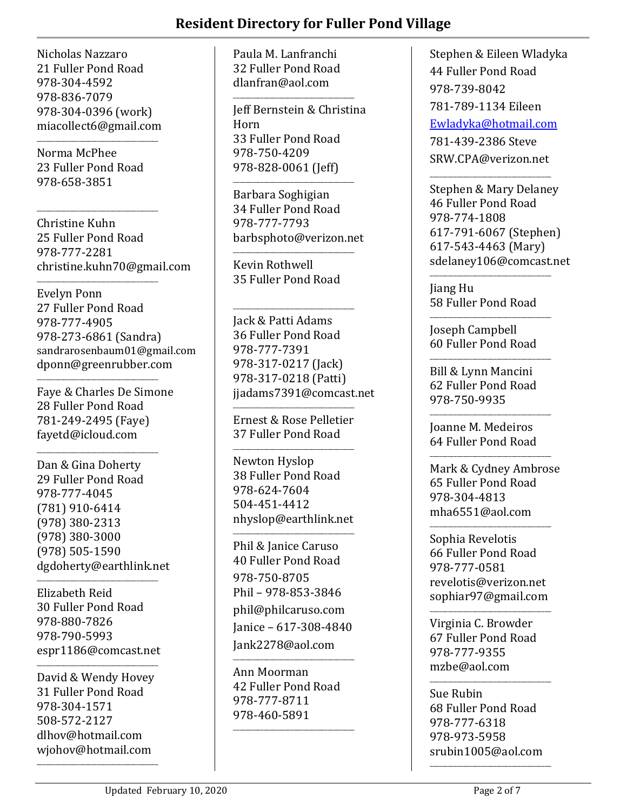## **Resident Directory for Fuller Pond Village**

Nicholas Nazzaro 21 Fuller Pond Road 978-304-4592 978-836-7079 978-304-0396 (work) miacollect6@gmail.com

Norma McPhee 23 Fuller Pond Road 978-658-3851

\_\_\_\_\_\_\_\_\_\_\_\_\_\_\_\_\_\_\_\_\_\_\_\_\_\_\_\_\_\_\_\_\_\_\_\_\_\_\_\_

\_\_\_\_\_\_\_\_\_\_\_\_\_\_\_\_\_\_\_\_\_\_\_\_\_\_\_\_\_\_\_\_\_\_\_\_\_\_\_\_

\_\_\_\_\_\_\_\_\_\_\_\_\_\_\_\_\_\_\_\_\_\_\_\_\_\_\_\_\_\_\_\_\_\_\_\_\_\_\_\_

Christine Kuhn 25 Fuller Pond Road 978-777-2281 christine.kuhn70@gmail.com

Evelyn Ponn 27 Fuller Pond Road 978-777-4905 978-273-6861 (Sandra) sandrarosenbaum01@gmail.com dponn@greenrubber.com

Faye & Charles De Simone 28 Fuller Pond Road 781-249-2495 (Faye) fayetd@icloud.com

\_\_\_\_\_\_\_\_\_\_\_\_\_\_\_\_\_\_\_\_\_\_\_\_\_\_\_\_\_\_\_\_\_\_\_\_\_\_\_\_

\_\_\_\_\_\_\_\_\_\_\_\_\_\_\_\_\_\_\_\_\_\_\_\_\_\_\_\_\_\_\_\_\_\_\_\_\_\_\_\_

Dan & Gina Doherty 29 Fuller Pond Road 978-777-4045 (781) 910-6414 (978) 380-2313 (978) 380-3000 (978) 505-1590 dgdoherty@earthlink.net

\_\_\_\_\_\_\_\_\_\_\_\_\_\_\_\_\_\_\_\_\_\_\_\_\_\_\_\_\_\_\_\_\_\_\_\_\_\_\_\_ Elizabeth Reid 30 Fuller Pond Road 978-880-7826 978-790-5993 espr1186@comcast.net

\_\_\_\_\_\_\_\_\_\_\_\_\_\_\_\_\_\_\_\_\_\_\_\_\_\_\_\_\_\_\_\_\_\_\_\_\_\_\_\_

David & Wendy Hovey 31 Fuller Pond Road 978-304-1571 508-572-2127 dlhov@hotmail.com wjohov@hotmail.com

\_\_\_\_\_\_\_\_\_\_\_\_\_\_\_\_\_\_\_\_\_\_\_\_\_\_\_\_\_\_\_\_\_\_\_\_\_\_\_\_

Paula M. Lanfranchi 32 Fuller Pond Road dlanfran@aol.com

\_\_\_\_\_\_\_\_\_\_\_\_\_\_\_\_\_\_\_\_\_\_\_\_\_\_\_\_\_\_\_\_\_\_\_\_\_\_\_\_

Jeff Bernstein & Christina Horn 33 Fuller Pond Road 978-750-4209 978-828-0061 (Jeff)

Barbara Soghigian 34 Fuller Pond Road 978-777-7793 barbsphoto@verizon.net

\_\_\_\_\_\_\_\_\_\_\_\_\_\_\_\_\_\_\_\_\_\_\_\_\_\_\_\_\_\_\_\_\_\_\_\_\_\_\_\_

\_\_\_\_\_\_\_\_\_\_\_\_\_\_\_\_\_\_\_\_\_\_\_\_\_\_\_\_\_\_\_\_\_\_\_\_\_\_\_\_ Kevin Rothwell 35 Fuller Pond Road

\_\_\_\_\_\_\_\_\_\_\_\_\_\_\_\_\_\_\_\_\_\_\_\_\_\_\_\_\_\_\_\_\_\_\_\_\_\_\_\_ Jack & Patti Adams 36 Fuller Pond Road 978-777-7391 978-317-0217 (Jack) 978-317-0218 (Patti) jjadams7391@comcast.net

\_\_\_\_\_\_\_\_\_\_\_\_\_\_\_\_\_\_\_\_\_\_\_\_\_\_\_\_\_\_\_\_\_\_\_\_\_\_\_\_ Ernest & Rose Pelletier 37 Fuller Pond Road

\_\_\_\_\_\_\_\_\_\_\_\_\_\_\_\_\_\_\_\_\_\_\_\_\_\_\_\_\_\_\_\_\_\_\_\_\_\_\_\_

Newton Hyslop 38 Fuller Pond Road 978-624-7604 504-451-4412 nhyslop@earthlink.net

\_\_\_\_\_\_\_\_\_\_\_\_\_\_\_\_\_\_\_\_\_\_\_\_\_\_\_\_\_\_\_\_\_\_\_\_\_\_\_\_

Phil & Janice Caruso 40 Fuller Pond Road 978-750-8705 Phil – 978-853-3846 phil@philcaruso.com Janice – 617-308-4840 Jank2278@aol.com

\_\_\_\_\_\_\_\_\_\_\_\_\_\_\_\_\_\_\_\_\_\_\_\_\_\_\_\_\_\_\_\_\_\_\_\_\_\_\_\_ Ann Moorman 42 Fuller Pond Road 978-777-8711 978-460-5891

\_\_\_\_\_\_\_\_\_\_\_\_\_\_\_\_\_\_\_\_\_\_\_\_\_\_\_\_\_\_\_\_\_\_\_\_\_\_\_\_

Stephen & Eileen Wladyka 44 Fuller Pond Road 978-739-8042 781-789-1134 Eileen [Ewladyka@hotmail.com](mailto:Ewladyka@hotmail.com) 781-439-2386 Steve SRW.CPA@verizon.net

Stephen & Mary Delaney 46 Fuller Pond Road 978-774-1808 617-791-6067 (Stephen) 617-543-4463 (Mary) sdelaney106@comcast.net

\_\_\_\_\_\_\_\_\_\_\_\_\_\_\_\_\_\_\_\_\_\_\_\_\_\_\_\_\_\_\_\_\_\_\_\_\_\_\_\_

Jiang Hu 58 Fuller Pond Road

\_\_\_\_\_\_\_\_\_\_\_\_\_\_\_\_\_\_\_\_\_\_\_\_\_\_\_\_\_\_\_\_\_\_\_\_\_\_\_\_

\_\_\_\_\_\_\_\_\_\_\_\_\_\_\_\_\_\_\_\_\_\_\_\_\_\_\_\_\_\_\_\_\_\_\_\_\_\_\_\_

\_\_\_\_\_\_\_\_\_\_\_\_\_\_\_\_\_\_\_\_\_\_\_\_\_\_\_\_\_\_\_\_\_\_\_\_\_\_\_\_

Joseph Campbell 60 Fuller Pond Road

Bill & Lynn Mancini 62 Fuller Pond Road 978-750-9935

Joanne M. Medeiros 64 Fuller Pond Road

\_\_\_\_\_\_\_\_\_\_\_\_\_\_\_\_\_\_\_\_\_\_\_\_\_\_\_\_\_\_\_\_\_\_\_\_\_\_\_\_

 $\overline{\phantom{a}}$  , and the set of the set of the set of the set of the set of the set of the set of the set of the set of the set of the set of the set of the set of the set of the set of the set of the set of the set of the s

Mark & Cydney Ambrose 65 Fuller Pond Road 978-304-4813 mha6551@aol.com

\_\_\_\_\_\_\_\_\_\_\_\_\_\_\_\_\_\_\_\_\_\_\_\_\_\_\_\_\_\_\_\_\_\_\_\_\_\_\_\_ Sophia Revelotis 66 Fuller Pond Road 978-777-0581 revelotis@verizon.net sophiar97@gmail.com

\_\_\_\_\_\_\_\_\_\_\_\_\_\_\_\_\_\_\_\_\_\_\_\_\_\_\_\_\_\_\_\_\_\_\_\_\_\_\_\_ Virginia C. Browder 67 Fuller Pond Road 978-777-9355 mzbe@aol.com

Sue Rubin 68 Fuller Pond Road 978-777-6318 978-973-5958 srubin1005@aol.com

\_\_\_\_\_\_\_\_\_\_\_\_\_\_\_\_\_\_\_\_\_\_\_\_\_\_\_\_\_\_\_\_\_\_\_\_\_\_\_\_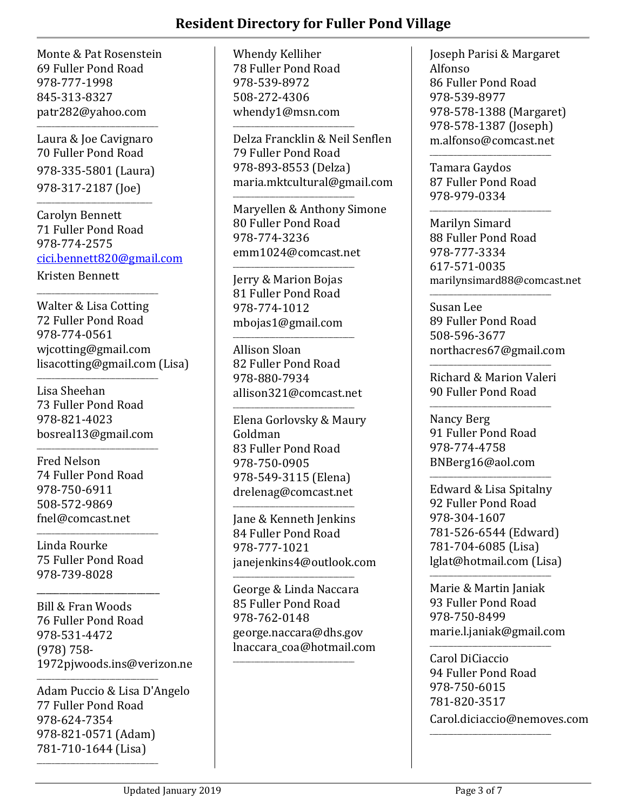Monte & Pat Rosenstein 69 Fuller Pond Road 978-777-1998 845-313-8327 patr282@yahoo.com

Laura & Joe Cavignaro 70 Fuller Pond Road 978-335-5801 (Laura) 978-317-2187 (Joe)

\_\_\_\_\_\_\_\_\_\_\_\_\_\_\_\_\_\_\_\_\_\_\_\_\_\_\_\_\_\_\_\_\_\_\_\_\_\_

\_\_\_\_\_\_\_\_\_\_\_\_\_\_\_\_\_\_\_\_\_\_\_\_\_\_\_\_\_\_\_\_\_\_\_\_\_\_\_\_

\_\_\_\_\_\_\_\_\_\_\_\_\_\_\_\_\_\_\_\_\_\_\_\_\_\_\_\_\_\_\_\_\_\_\_\_\_\_\_\_

Carolyn Bennett 71 Fuller Pond Road 978-774-2575 [cici.bennett820@gmail.com](mailto:cici.bennett820@gmail.com) Kristen Bennett

Walter & Lisa Cotting 72 Fuller Pond Road 978-774-0561 wjcotting@gmail.com lisacotting@gmail.com (Lisa)

Lisa Sheehan 73 Fuller Pond Road 978-821-4023 bosreal13@gmail.com

\_\_\_\_\_\_\_\_\_\_\_\_\_\_\_\_\_\_\_\_\_\_\_\_\_\_\_\_\_\_\_\_\_\_\_\_\_\_\_\_

\_\_\_\_\_\_\_\_\_\_\_\_\_\_\_\_\_\_\_\_\_\_\_\_\_\_\_\_\_\_\_\_\_\_\_\_\_\_\_\_ Fred Nelson 74 Fuller Pond Road 978-750-6911 508-572-9869 fnel@comcast.net

Linda Rourke 75 Fuller Pond Road 978-739-8028

\_\_\_\_\_\_\_\_\_\_\_\_\_\_\_\_\_\_\_\_\_\_\_\_\_\_\_\_\_\_\_\_\_\_\_\_\_\_\_\_

\_\_\_\_\_\_\_\_\_\_\_\_\_\_\_\_\_\_\_\_\_\_\_\_\_\_\_ Bill & Fran Woods 76 Fuller Pond Road 978-531-4472 (978) 758- 1972pjwoods.ins@verizon.ne

\_\_\_\_\_\_\_\_\_\_\_\_\_\_\_\_\_\_\_\_\_\_\_\_\_\_\_\_\_\_\_\_\_\_\_\_\_\_\_\_

\_\_\_\_\_\_\_\_\_\_\_\_\_\_\_\_\_\_\_\_\_\_\_\_\_\_\_\_\_\_\_\_\_\_\_\_\_\_\_\_

Adam Puccio & Lisa D'Angelo 77 Fuller Pond Road 978-624-7354 978-821-0571 (Adam) 781-710-1644 (Lisa)

Whendy Kelliher 78 Fuller Pond Road 978-539-8972 508-272-4306 whendy1@msn.com

\_\_\_\_\_\_\_\_\_\_\_\_\_\_\_\_\_\_\_\_\_\_\_\_\_\_\_\_\_\_\_\_\_\_\_\_\_\_\_\_

\_\_\_\_\_\_\_\_\_\_\_\_\_\_\_\_\_\_\_\_\_\_\_\_\_\_\_\_\_\_\_\_\_\_\_\_\_\_\_\_

Delza Francklin & Neil Senflen 79 Fuller Pond Road 978-893-8553 (Delza) maria.mktcultural@gmail.com

Maryellen & Anthony Simone 80 Fuller Pond Road 978-774-3236 emm1024@comcast.net

\_\_\_\_\_\_\_\_\_\_\_\_\_\_\_\_\_\_\_\_\_\_\_\_\_\_\_\_\_\_\_\_\_\_\_\_\_\_\_\_ Jerry & Marion Bojas 81 Fuller Pond Road 978-774-1012 mbojas1@gmail.com

\_\_\_\_\_\_\_\_\_\_\_\_\_\_\_\_\_\_\_\_\_\_\_\_\_\_\_\_\_\_\_\_\_\_\_\_\_\_\_\_ Allison Sloan 82 Fuller Pond Road 978-880-7934 allison321@comcast.net

\_\_\_\_\_\_\_\_\_\_\_\_\_\_\_\_\_\_\_\_\_\_\_\_\_\_\_\_\_\_\_\_\_\_\_\_\_\_\_\_

Elena Gorlovsky & Maury Goldman 83 Fuller Pond Road 978-750-0905 978-549-3115 (Elena) drelenag@comcast.net

\_\_\_\_\_\_\_\_\_\_\_\_\_\_\_\_\_\_\_\_\_\_\_\_\_\_\_\_\_\_\_\_\_\_\_\_\_\_\_\_ Jane & Kenneth Jenkins 84 Fuller Pond Road 978-777-1021 janejenkins4@outlook.com

\_\_\_\_\_\_\_\_\_\_\_\_\_\_\_\_\_\_\_\_\_\_\_\_\_\_\_\_\_\_\_\_\_\_\_\_\_\_\_\_ George & Linda Naccara 85 Fuller Pond Road 978-762-0148 george.naccara@dhs.gov lnaccara\_coa@hotmail.com

\_\_\_\_\_\_\_\_\_\_\_\_\_\_\_\_\_\_\_\_\_\_\_\_\_\_\_\_\_\_\_\_\_\_\_\_\_\_\_\_

Joseph Parisi & Margaret Alfonso 86 Fuller Pond Road 978-539-8977 978-578-1388 (Margaret) 978-578-1387 (Joseph) m.alfonso@comcast.net

Tamara Gaydos 87 Fuller Pond Road 978-979-0334

\_\_\_\_\_\_\_\_\_\_\_\_\_\_\_\_\_\_\_\_\_\_\_\_\_\_\_\_\_\_\_\_\_\_\_\_\_\_\_\_

\_\_\_\_\_\_\_\_\_\_\_\_\_\_\_\_\_\_\_\_\_\_\_\_\_\_\_\_\_\_\_\_\_\_\_\_\_\_\_\_

Marilyn Simard 88 Fuller Pond Road 978-777-3334 617-571-0035 marilynsimard88@comcast.net

Susan Lee 89 Fuller Pond Road 508-596-3677 northacres67@gmail.com

\_\_\_\_\_\_\_\_\_\_\_\_\_\_\_\_\_\_\_\_\_\_\_\_\_\_\_\_\_\_\_\_\_\_\_\_\_\_\_\_

Richard & Marion Valeri 90 Fuller Pond Road

\_\_\_\_\_\_\_\_\_\_\_\_\_\_\_\_\_\_\_\_\_\_\_\_\_\_\_\_\_\_\_\_\_\_\_\_\_\_\_\_

\_\_\_\_\_\_\_\_\_\_\_\_\_\_\_\_\_\_\_\_\_\_\_\_\_\_\_\_\_\_\_\_\_\_\_\_\_\_\_\_

Nancy Berg 91 Fuller Pond Road 978-774-4758 BNBerg16@aol.com

\_\_\_\_\_\_\_\_\_\_\_\_\_\_\_\_\_\_\_\_\_\_\_\_\_\_\_\_\_\_\_\_\_\_\_\_\_\_\_\_

Edward & Lisa Spitalny 92 Fuller Pond Road 978-304-1607 781-526-6544 (Edward) 781-704-6085 (Lisa) lglat@hotmail.com (Lisa)

Marie & Martin Janiak 93 Fuller Pond Road 978-750-8499 marie.l.janiak@gmail.com

\_\_\_\_\_\_\_\_\_\_\_\_\_\_\_\_\_\_\_\_\_\_\_\_\_\_\_\_\_\_\_\_\_\_\_\_\_\_\_\_

Carol DiCiaccio 94 Fuller Pond Road 978-750-6015 781-820-3517 Carol.diciaccio@nemoves.com

\_\_\_\_\_\_\_\_\_\_\_\_\_\_\_\_\_\_\_\_\_\_\_\_\_\_\_\_\_\_\_\_\_\_\_\_\_\_\_\_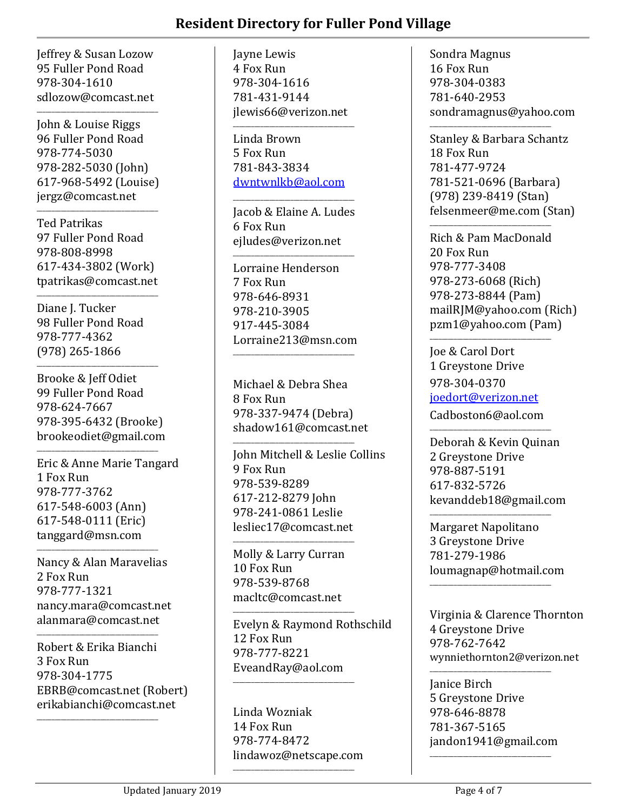Jeffrey & Susan Lozow 95 Fuller Pond Road 978-304-1610 sdlozow@comcast.net

\_\_\_\_\_\_\_\_\_\_\_\_\_\_\_\_\_\_\_\_\_\_\_\_\_\_\_\_\_\_\_\_\_\_\_\_\_\_\_\_

John & Louise Riggs 96 Fuller Pond Road 978-774-5030 978-282-5030 (John) 617-968-5492 (Louise) jergz@comcast.net

Ted Patrikas 97 Fuller Pond Road 978-808-8998 617-434-3802 (Work) tpatrikas@comcast.net

\_\_\_\_\_\_\_\_\_\_\_\_\_\_\_\_\_\_\_\_\_\_\_\_\_\_\_\_\_\_\_\_\_\_\_\_\_\_\_\_

\_\_\_\_\_\_\_\_\_\_\_\_\_\_\_\_\_\_\_\_\_\_\_\_\_\_\_\_\_\_\_\_\_\_\_\_\_\_\_\_

Diane J. Tucker 98 Fuller Pond Road 978-777-4362 (978) 265-1866

Brooke & Jeff Odiet 99 Fuller Pond Road 978-624-7667 978-395-6432 (Brooke) brookeodiet@gmail.com

\_\_\_\_\_\_\_\_\_\_\_\_\_\_\_\_\_\_\_\_\_\_\_\_\_\_\_\_\_\_\_\_\_\_\_\_\_\_\_\_

\_\_\_\_\_\_\_\_\_\_\_\_\_\_\_\_\_\_\_\_\_\_\_\_\_\_\_\_\_\_\_\_\_\_\_\_\_\_\_\_ Eric & Anne Marie Tangard 1 Fox Run 978-777-3762 617-548-6003 (Ann) 617-548-0111 (Eric) tanggard@msn.com

Nancy & Alan Maravelias 2 Fox Run 978-777-1321 nancy.mara@comcast.net alanmara@comcast.net

\_\_\_\_\_\_\_\_\_\_\_\_\_\_\_\_\_\_\_\_\_\_\_\_\_\_\_\_\_\_\_\_\_\_\_\_\_\_\_\_

\_\_\_\_\_\_\_\_\_\_\_\_\_\_\_\_\_\_\_\_\_\_\_\_\_\_\_\_\_\_\_\_\_\_\_\_\_\_\_\_

\_\_\_\_\_\_\_\_\_\_\_\_\_\_\_\_\_\_\_\_\_\_\_\_\_\_\_\_\_\_\_\_\_\_\_\_\_\_\_\_

Robert & Erika Bianchi 3 Fox Run 978-304-1775 EBRB@comcast.net (Robert) erikabianchi@comcast.net

Jayne Lewis 4 Fox Run 978-304-1616 781-431-9144 jlewis66@verizon.net

\_\_\_\_\_\_\_\_\_\_\_\_\_\_\_\_\_\_\_\_\_\_\_\_\_\_\_\_\_\_\_\_\_\_\_\_\_\_\_\_ Linda Brown 5 Fox Run 781-843-3834 [dwntwnlkb@aol.com](mailto:dwntwnlkb@aol.com)

Jacob & Elaine A. Ludes 6 Fox Run ejludes@verizon.net

\_\_\_\_\_\_\_\_\_\_\_\_\_\_\_\_\_\_\_\_\_\_\_\_\_\_\_\_\_\_\_\_\_\_\_\_\_\_\_\_

\_\_\_\_\_\_\_\_\_\_\_\_\_\_\_\_\_\_\_\_\_\_\_\_\_\_\_\_\_\_\_\_\_\_\_\_\_\_\_\_

Lorraine Henderson 7 Fox Run 978-646-8931 978-210-3905 917-445-3084 Lorraine213@msn.com

 $\overline{\phantom{a}}$  , and the set of the set of the set of the set of the set of the set of the set of the set of the set of the set of the set of the set of the set of the set of the set of the set of the set of the set of the s

Michael & Debra Shea 8 Fox Run 978-337-9474 (Debra) shadow161@comcast.net

\_\_\_\_\_\_\_\_\_\_\_\_\_\_\_\_\_\_\_\_\_\_\_\_\_\_\_\_\_\_\_\_\_\_\_\_\_\_\_\_ John Mitchell & Leslie Collins 9 Fox Run 978-539-8289 617-212-8279 John 978-241-0861 Leslie lesliec17@comcast.net \_\_\_\_\_\_\_\_\_\_\_\_\_\_\_\_\_\_\_\_\_\_\_\_\_\_\_\_\_\_\_\_\_\_\_\_\_\_\_\_

Molly & Larry Curran 10 Fox Run 978-539-8768 macltc@comcast.net

\_\_\_\_\_\_\_\_\_\_\_\_\_\_\_\_\_\_\_\_\_\_\_\_\_\_\_\_\_\_\_\_\_\_\_\_\_\_\_\_

Evelyn & Raymond Rothschild 12 Fox Run 978-777-8221 EveandRay@aol.com

Linda Wozniak 14 Fox Run 978-774-8472 lindawoz@netscape.com

\_\_\_\_\_\_\_\_\_\_\_\_\_\_\_\_\_\_\_\_\_\_\_\_\_\_\_\_\_\_\_\_\_\_\_\_\_\_\_\_

\_\_\_\_\_\_\_\_\_\_\_\_\_\_\_\_\_\_\_\_\_\_\_\_\_\_\_\_\_\_\_\_\_\_\_\_\_\_\_\_

Sondra Magnus 16 Fox Run 978-304-0383 781-640-2953 sondramagnus@yahoo.com

\_\_\_\_\_\_\_\_\_\_\_\_\_\_\_\_\_\_\_\_\_\_\_\_\_\_\_\_\_\_\_\_\_\_\_\_\_\_\_\_ Stanley & Barbara Schantz 18 Fox Run 781-477-9724 781-521-0696 (Barbara) (978) 239-8419 (Stan) felsenmeer@me.com (Stan)

\_\_\_\_\_\_\_\_\_\_\_\_\_\_\_\_\_\_\_\_\_\_\_\_\_\_\_\_\_\_\_\_\_\_\_\_\_\_\_\_ Rich & Pam MacDonald 20 Fox Run 978-777-3408 978-273-6068 (Rich) 978-273-8844 (Pam) mailRJM@yahoo.com (Rich) pzm1@yahoo.com (Pam)

Joe & Carol Dort 1 Greystone Drive 978-304-0370 [joedort@verizon.net](mailto:joedort@verizon.net) Cadboston6@aol.com

\_\_\_\_\_\_\_\_\_\_\_\_\_\_\_\_\_\_\_\_\_\_\_\_\_\_\_\_\_\_\_\_\_\_\_\_\_\_\_\_

Deborah & Kevin Quinan 2 Greystone Drive 978-887-5191 617-832-5726 kevanddeb18@gmail.com

\_\_\_\_\_\_\_\_\_\_\_\_\_\_\_\_\_\_\_\_\_\_\_\_\_\_\_\_\_\_\_\_\_\_\_\_\_\_\_\_

Margaret Napolitano 3 Greystone Drive 781-279-1986 loumagnap@hotmail.com

\_\_\_\_\_\_\_\_\_\_\_\_\_\_\_\_\_\_\_\_\_\_\_\_\_\_\_\_\_\_\_\_\_\_\_\_\_\_\_\_

 $\overline{\phantom{a}}$  , and the set of the set of the set of the set of the set of the set of the set of the set of the set of the set of the set of the set of the set of the set of the set of the set of the set of the set of the s

Virginia & Clarence Thornton 4 Greystone Drive 978-762-7642 wynniethornton2@verizon.net

Janice Birch 5 Greystone Drive 978-646-8878 781-367-5165 jandon1941@gmail.com \_\_\_\_\_\_\_\_\_\_\_\_\_\_\_\_\_\_\_\_\_\_\_\_\_\_\_\_\_\_\_\_\_\_\_\_\_\_\_\_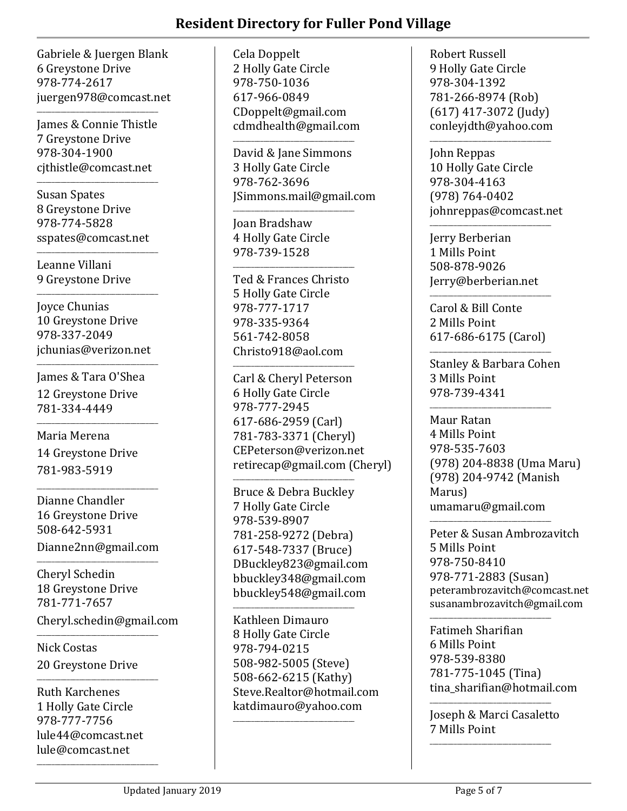Gabriele & Juergen Blank 6 Greystone Drive 978-774-2617 juergen978@comcast.net

James & Connie Thistle 7 Greystone Drive 978-304-1900 cjthistle@comcast.net

\_\_\_\_\_\_\_\_\_\_\_\_\_\_\_\_\_\_\_\_\_\_\_\_\_\_\_\_\_\_\_\_\_\_\_\_\_\_\_\_

\_\_\_\_\_\_\_\_\_\_\_\_\_\_\_\_\_\_\_\_\_\_\_\_\_\_\_\_\_\_\_\_\_\_\_\_\_\_\_\_

Susan Spates 8 Greystone Drive 978-774-5828 sspates@comcast.net

\_\_\_\_\_\_\_\_\_\_\_\_\_\_\_\_\_\_\_\_\_\_\_\_\_\_\_\_\_\_\_\_\_\_\_\_\_\_\_\_

Leanne Villani 9 Greystone Drive

\_\_\_\_\_\_\_\_\_\_\_\_\_\_\_\_\_\_\_\_\_\_\_\_\_\_\_\_\_\_\_\_\_\_\_\_\_\_\_\_ Joyce Chunias 10 Greystone Drive 978-337-2049 jchunias@verizon.net

\_\_\_\_\_\_\_\_\_\_\_\_\_\_\_\_\_\_\_\_\_\_\_\_\_\_\_\_\_\_\_\_\_\_\_\_\_\_\_\_

James & Tara O'Shea 12 Greystone Drive 781-334-4449

\_\_\_\_\_\_\_\_\_\_\_\_\_\_\_\_\_\_\_\_\_\_\_\_\_\_\_\_\_\_\_\_\_\_\_\_\_\_\_\_

Maria Merena 14 Greystone Drive 781-983-5919

\_\_\_\_\_\_\_\_\_\_\_\_\_\_\_\_\_\_\_\_\_\_\_\_\_\_\_\_\_\_\_\_\_\_\_\_\_\_\_\_ Dianne Chandler 16 Greystone Drive 508-642-5931 Dianne2nn@gmail.com

\_\_\_\_\_\_\_\_\_\_\_\_\_\_\_\_\_\_\_\_\_\_\_\_\_\_\_\_\_\_\_\_\_\_\_\_\_\_\_\_ Cheryl Schedin 18 Greystone Drive 781-771-7657 Cheryl.schedin@gmail.com

Nick Costas 20 Greystone Drive

\_\_\_\_\_\_\_\_\_\_\_\_\_\_\_\_\_\_\_\_\_\_\_\_\_\_\_\_\_\_\_\_\_\_\_\_\_\_\_\_

\_\_\_\_\_\_\_\_\_\_\_\_\_\_\_\_\_\_\_\_\_\_\_\_\_\_\_\_\_\_\_\_\_\_\_\_\_\_\_\_

Ruth Karchenes 1 Holly Gate Circle 978-777-7756 lule44@comcast.net lule@comcast.net

\_\_\_\_\_\_\_\_\_\_\_\_\_\_\_\_\_\_\_\_\_\_\_\_\_\_\_\_\_\_\_\_\_\_\_\_\_\_\_\_

Cela Doppelt 2 Holly Gate Circle 978-750-1036 617-966-0849 CDoppelt@gmail.com cdmdhealth@gmail.com

\_\_\_\_\_\_\_\_\_\_\_\_\_\_\_\_\_\_\_\_\_\_\_\_\_\_\_\_\_\_\_\_\_\_\_\_\_\_\_\_

\_\_\_\_\_\_\_\_\_\_\_\_\_\_\_\_\_\_\_\_\_\_\_\_\_\_\_\_\_\_\_\_\_\_\_\_\_\_\_\_

David & Jane Simmons 3 Holly Gate Circle 978-762-3696 JSimmons.mail@gmail.com

Joan Bradshaw 4 Holly Gate Circle 978-739-1528

Ted & Frances Christo 5 Holly Gate Circle 978-777-1717 978-335-9364 561-742-8058 Christo918@aol.com

\_\_\_\_\_\_\_\_\_\_\_\_\_\_\_\_\_\_\_\_\_\_\_\_\_\_\_\_\_\_\_\_\_\_\_\_\_\_\_\_

\_\_\_\_\_\_\_\_\_\_\_\_\_\_\_\_\_\_\_\_\_\_\_\_\_\_\_\_\_\_\_\_\_\_\_\_\_\_\_\_

Carl & Cheryl Peterson 6 Holly Gate Circle 978-777-2945 617-686-2959 (Carl) 781-783-3371 (Cheryl) CEPeterson@verizon.net retirecap@gmail.com (Cheryl)

Bruce & Debra Buckley 7 Holly Gate Circle 978-539-8907 781-258-9272 (Debra) 617-548-7337 (Bruce) DBuckley823@gmail.com bbuckley348@gmail.com bbuckley548@gmail.com

\_\_\_\_\_\_\_\_\_\_\_\_\_\_\_\_\_\_\_\_\_\_\_\_\_\_\_\_\_\_\_\_\_\_\_\_\_\_\_\_

\_\_\_\_\_\_\_\_\_\_\_\_\_\_\_\_\_\_\_\_\_\_\_\_\_\_\_\_\_\_\_\_\_\_\_\_\_\_\_\_ Kathleen Dimauro 8 Holly Gate Circle 978-794-0215 508-982-5005 (Steve) 508-662-6215 (Kathy) Steve.Realtor@hotmail.com katdimauro@yahoo.com

\_\_\_\_\_\_\_\_\_\_\_\_\_\_\_\_\_\_\_\_\_\_\_\_\_\_\_\_\_\_\_\_\_\_\_\_\_\_\_\_

Robert Russell 9 Holly Gate Circle 978-304-1392 781-266-8974 (Rob) (617) 417-3072 (Judy) conleyjdth@yahoo.com

\_\_\_\_\_\_\_\_\_\_\_\_\_\_\_\_\_\_\_\_\_\_\_\_\_\_\_\_\_\_\_\_\_\_\_\_\_\_\_\_

John Reppas 10 Holly Gate Circle 978-304-4163 (978) 764-0402 johnreppas@comcast.net

Jerry Berberian 1 Mills Point 508-878-9026 Jerry@berberian.net

\_\_\_\_\_\_\_\_\_\_\_\_\_\_\_\_\_\_\_\_\_\_\_\_\_\_\_\_\_\_\_\_\_\_\_\_\_\_\_\_

Carol & Bill Conte 2 Mills Point 617-686-6175 (Carol)

 $\overline{\phantom{a}}$  , and the set of the set of the set of the set of the set of the set of the set of the set of the set of the set of the set of the set of the set of the set of the set of the set of the set of the set of the s

\_\_\_\_\_\_\_\_\_\_\_\_\_\_\_\_\_\_\_\_\_\_\_\_\_\_\_\_\_\_\_\_\_\_\_\_\_\_\_\_

Stanley & Barbara Cohen 3 Mills Point 978-739-4341

\_\_\_\_\_\_\_\_\_\_\_\_\_\_\_\_\_\_\_\_\_\_\_\_\_\_\_\_\_\_\_\_\_\_\_\_\_\_\_\_ Maur Ratan 4 Mills Point 978-535-7603 (978) 204-8838 (Uma Maru) (978) 204-9742 (Manish Marus) umamaru@gmail.com

\_\_\_\_\_\_\_\_\_\_\_\_\_\_\_\_\_\_\_\_\_\_\_\_\_\_\_\_\_\_\_\_\_\_\_\_\_\_\_\_

\_\_\_\_\_\_\_\_\_\_\_\_\_\_\_\_\_\_\_\_\_\_\_\_\_\_\_\_\_\_\_\_\_\_\_\_\_\_\_\_

Peter & Susan Ambrozavitch 5 Mills Point 978-750-8410 978-771-2883 (Susan) peterambrozavitch@comcast.net susanambrozavitch@gmail.com

Fatimeh Sharifian 6 Mills Point 978-539-8380 781-775-1045 (Tina) tina sharifian@hotmail.com

Joseph & Marci Casaletto 7 Mills Point

\_\_\_\_\_\_\_\_\_\_\_\_\_\_\_\_\_\_\_\_\_\_\_\_\_\_\_\_\_\_\_\_\_\_\_\_\_\_\_\_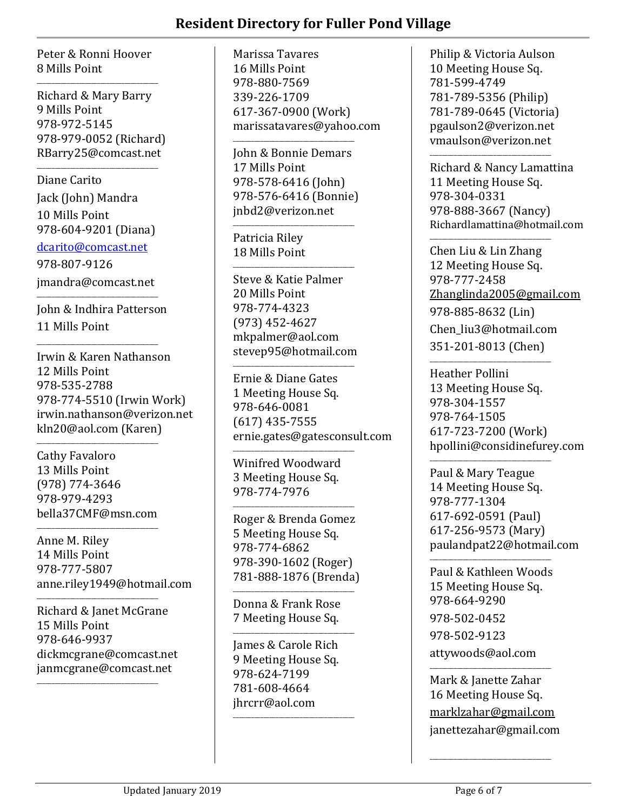Peter & Ronni Hoover 8 Mills Point

\_\_\_\_\_\_\_\_\_\_\_\_\_\_\_\_\_\_\_\_\_\_\_\_\_\_\_\_\_\_\_\_\_\_\_\_\_\_\_\_ Richard & Mary Barry 9 Mills Point 978-972-5145 978-979-0052 (Richard) RBarry25@comcast.net

Diane Carito Jack (John) Mandra 10 Mills Point 978-604-9201 (Diana)

\_\_\_\_\_\_\_\_\_\_\_\_\_\_\_\_\_\_\_\_\_\_\_\_\_\_\_\_\_\_\_\_\_\_\_\_\_\_\_\_

[dcarito@comcast.net](mailto:dcarito@comcast.net) 978-807-9126 jmandra@comcast.net

\_\_\_\_\_\_\_\_\_\_\_\_\_\_\_\_\_\_\_\_\_\_\_\_\_\_\_\_\_\_\_\_\_\_\_\_\_\_\_\_ John & Indhira Patterson 11 Mills Point

\_\_\_\_\_\_\_\_\_\_\_\_\_\_\_\_\_\_\_\_\_\_\_\_\_\_\_\_\_\_\_\_\_\_\_\_\_\_\_\_

Irwin & Karen Nathanson 12 Mills Point 978-535-2788 978-774-5510 (Irwin Work) irwin.nathanson@verizon.net kln20@aol.com (Karen)

\_\_\_\_\_\_\_\_\_\_\_\_\_\_\_\_\_\_\_\_\_\_\_\_\_\_\_\_\_\_\_\_\_\_\_\_\_\_\_\_ Cathy Favaloro 13 Mills Point (978) 774-3646 978-979-4293 bella37CMF@msn.com

\_\_\_\_\_\_\_\_\_\_\_\_\_\_\_\_\_\_\_\_\_\_\_\_\_\_\_\_\_\_\_\_\_\_\_\_\_\_\_\_

\_\_\_\_\_\_\_\_\_\_\_\_\_\_\_\_\_\_\_\_\_\_\_\_\_\_\_\_\_\_\_\_\_\_\_\_\_\_\_\_

\_\_\_\_\_\_\_\_\_\_\_\_\_\_\_\_\_\_\_\_\_\_\_\_\_\_\_\_\_\_\_\_\_\_\_\_\_\_\_\_

Anne M. Riley 14 Mills Point 978-777-5807 anne.riley1949@hotmail.com

Richard & Janet McGrane 15 Mills Point 978-646-9937 dickmcgrane@comcast.net janmcgrane@comcast.net

Marissa Tavares 16 Mills Point 978-880-7569 339-226-1709 617-367-0900 (Work) marissatavares@yahoo.com

John & Bonnie Demars 17 Mills Point 978-578-6416 (John) 978-576-6416 (Bonnie) jnbd2@verizon.net

\_\_\_\_\_\_\_\_\_\_\_\_\_\_\_\_\_\_\_\_\_\_\_\_\_\_\_\_\_\_\_\_\_\_\_\_\_\_\_\_

\_\_\_\_\_\_\_\_\_\_\_\_\_\_\_\_\_\_\_\_\_\_\_\_\_\_\_\_\_\_\_\_\_\_\_\_\_\_\_\_

\_\_\_\_\_\_\_\_\_\_\_\_\_\_\_\_\_\_\_\_\_\_\_\_\_\_\_\_\_\_\_\_\_\_\_\_\_\_\_\_

Patricia Riley 18 Mills Point

Steve & Katie Palmer 20 Mills Point 978-774-4323 (973) 452-4627 mkpalmer@aol.com stevep95@hotmail.com

\_\_\_\_\_\_\_\_\_\_\_\_\_\_\_\_\_\_\_\_\_\_\_\_\_\_\_\_\_\_\_\_\_\_\_\_\_\_\_\_

Ernie & Diane Gates 1 Meeting House Sq. 978-646-0081 (617) 435-7555 ernie.gates@gatesconsult.com

\_\_\_\_\_\_\_\_\_\_\_\_\_\_\_\_\_\_\_\_\_\_\_\_\_\_\_\_\_\_\_\_\_\_\_\_\_\_\_\_ Winifred Woodward 3 Meeting House Sq. 978-774-7976

\_\_\_\_\_\_\_\_\_\_\_\_\_\_\_\_\_\_\_\_\_\_\_\_\_\_\_\_\_\_\_\_\_\_\_\_\_\_\_\_ Roger & Brenda Gomez 5 Meeting House Sq. 978-774-6862 978-390-1602 (Roger) 781-888-1876 (Brenda)

Donna & Frank Rose 7 Meeting House Sq.

 $\overline{\phantom{a}}$  , and the set of the set of the set of the set of the set of the set of the set of the set of the set of the set of the set of the set of the set of the set of the set of the set of the set of the set of the s

\_\_\_\_\_\_\_\_\_\_\_\_\_\_\_\_\_\_\_\_\_\_\_\_\_\_\_\_\_\_\_\_\_\_\_\_\_\_\_\_ James & Carole Rich 9 Meeting House Sq. 978-624-7199 781-608-4664 jhrcrr@aol.com

\_\_\_\_\_\_\_\_\_\_\_\_\_\_\_\_\_\_\_\_\_\_\_\_\_\_\_\_\_\_\_\_\_\_\_\_\_\_\_\_

Philip & Victoria Aulson 10 Meeting House Sq. 781-599-4749 781-789-5356 (Philip) 781-789-0645 (Victoria) pgaulson2@verizon.net vmaulson@verizon.net

\_\_\_\_\_\_\_\_\_\_\_\_\_\_\_\_\_\_\_\_\_\_\_\_\_\_\_\_\_\_\_\_\_\_\_\_\_\_\_\_

Richard & Nancy Lamattina 11 Meeting House Sq. 978-304-0331 978-888-3667 (Nancy) Richardlamattina@hotmail.com

\_\_\_\_\_\_\_\_\_\_\_\_\_\_\_\_\_\_\_\_\_\_\_\_\_\_\_\_\_\_\_\_\_\_\_\_\_\_\_\_ Chen Liu & Lin Zhang 12 Meeting House Sq. 978-777-2458 [Zhanglinda2005@gmail.com](mailto:Zhanglinda2005@gmail.com) 978-885-8632 (Lin) Chen\_liu3@hotmail.com 351-201-8013 (Chen) \_\_\_\_\_\_\_\_\_\_\_\_\_\_\_\_\_\_\_\_\_\_\_\_\_\_\_\_\_\_\_\_\_\_\_\_\_\_\_\_

Heather Pollini 13 Meeting House Sq. 978-304-1557 978-764-1505 617-723-7200 (Work) hpollini@considinefurey.com

Paul & Mary Teague 14 Meeting House Sq. 978-777-1304 617-692-0591 (Paul) 617-256-9573 (Mary) paulandpat22@hotmail.com

\_\_\_\_\_\_\_\_\_\_\_\_\_\_\_\_\_\_\_\_\_\_\_\_\_\_\_\_\_\_\_\_\_\_\_\_\_\_\_\_

\_\_\_\_\_\_\_\_\_\_\_\_\_\_\_\_\_\_\_\_\_\_\_\_\_\_\_\_\_\_\_\_\_\_\_\_\_\_\_\_ Paul & Kathleen Woods 15 Meeting House Sq. 978-664-9290 978-502-0452 978-502-9123 attywoods@aol.com

\_\_\_\_\_\_\_\_\_\_\_\_\_\_\_\_\_\_\_\_\_\_\_\_\_\_\_\_\_\_\_\_\_\_\_\_\_\_\_\_ Mark & Janette Zahar 16 Meeting House Sq. [marklzahar@gmail.com](mailto:marklzahar@gmail.com) janettezahar@gmail.com